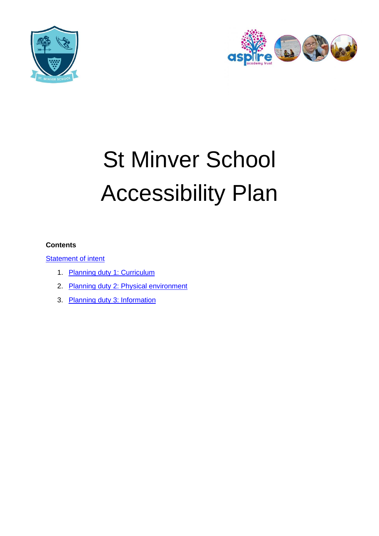



# St Minver School Accessibility Plan

#### **Contents**

**[Statement of intent](#page-1-0)** 

- 1. Planning duty 1: Curriculum
- 2. [Planning duty 2: Physical environment](#page-4-0)
- 3. [Planning duty 3: Information](#page-6-0)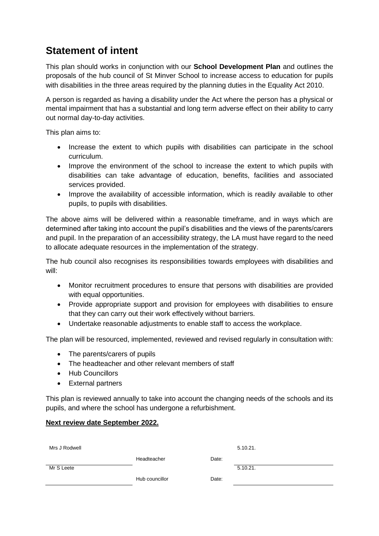## <span id="page-1-0"></span>**Statement of intent**

This plan should works in conjunction with our **School Development Plan** and outlines the proposals of the hub council of St Minver School to increase access to education for pupils with disabilities in the three areas required by the planning duties in the Equality Act 2010.

A person is regarded as having a disability under the Act where the person has a physical or mental impairment that has a substantial and long term adverse effect on their ability to carry out normal day-to-day activities.

This plan aims to:

- Increase the extent to which pupils with disabilities can participate in the school curriculum.
- Improve the environment of the school to increase the extent to which pupils with disabilities can take advantage of education, benefits, facilities and associated services provided.
- Improve the availability of accessible information, which is readily available to other pupils, to pupils with disabilities.

The above aims will be delivered within a reasonable timeframe, and in ways which are determined after taking into account the pupil's disabilities and the views of the parents/carers and pupil. In the preparation of an accessibility strategy, the LA must have regard to the need to allocate adequate resources in the implementation of the strategy.

The hub council also recognises its responsibilities towards employees with disabilities and will:

- Monitor recruitment procedures to ensure that persons with disabilities are provided with equal opportunities.
- Provide appropriate support and provision for employees with disabilities to ensure that they can carry out their work effectively without barriers.
- Undertake reasonable adjustments to enable staff to access the workplace.

The plan will be resourced, implemented, reviewed and revised regularly in consultation with:

- The parents/carers of pupils
- The headteacher and other relevant members of staff
- Hub Councillors
- External partners

This plan is reviewed annually to take into account the changing needs of the schools and its pupils, and where the school has undergone a refurbishment.

#### **Next review date September 2022.**

| Mrs J Rodwell |                |       | 5.10.21. |
|---------------|----------------|-------|----------|
|               | Headteacher    | Date: |          |
| Mr S Leete    |                |       | 5.10.21. |
|               | Hub councillor | Date: |          |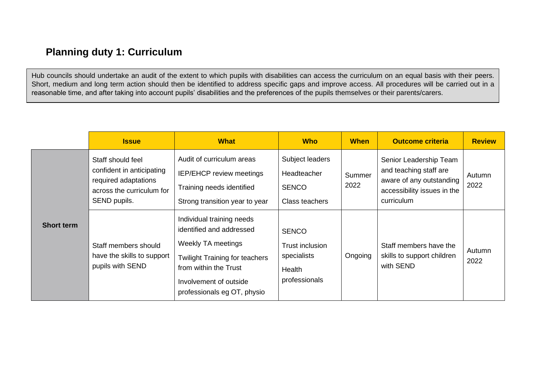## **Planning duty 1: Curriculum**

Hub councils should undertake an audit of the extent to which pupils with disabilities can access the curriculum on an equal basis with their peers. Short, medium and long term action should then be identified to address specific gaps and improve access. All procedures will be carried out in a reasonable time, and after taking into account pupils' disabilities and the preferences of the pupils themselves or their parents/carers.

<span id="page-2-0"></span>

|                   | <b>Issue</b>                                                                                                        | <b>What</b>                                                                                                                                                                                                   | <b>Who</b>                                                                | <b>When</b>    | <b>Outcome criteria</b>                                                                                                   | <b>Review</b>  |
|-------------------|---------------------------------------------------------------------------------------------------------------------|---------------------------------------------------------------------------------------------------------------------------------------------------------------------------------------------------------------|---------------------------------------------------------------------------|----------------|---------------------------------------------------------------------------------------------------------------------------|----------------|
|                   | Staff should feel<br>confident in anticipating<br>required adaptations<br>across the curriculum for<br>SEND pupils. | Audit of curriculum areas<br>IEP/EHCP review meetings<br>Training needs identified<br>Strong transition year to year                                                                                          | Subject leaders<br>Headteacher<br><b>SENCO</b><br>Class teachers          | Summer<br>2022 | Senior Leadership Team<br>and teaching staff are<br>aware of any outstanding<br>accessibility issues in the<br>curriculum | Autumn<br>2022 |
| <b>Short term</b> | Staff members should<br>have the skills to support<br>pupils with SEND                                              | Individual training needs<br>identified and addressed<br><b>Weekly TA meetings</b><br><b>Twilight Training for teachers</b><br>from within the Trust<br>Involvement of outside<br>professionals eg OT, physio | <b>SENCO</b><br>Trust inclusion<br>specialists<br>Health<br>professionals | Ongoing        | Staff members have the<br>skills to support children<br>with SEND                                                         | Autumn<br>2022 |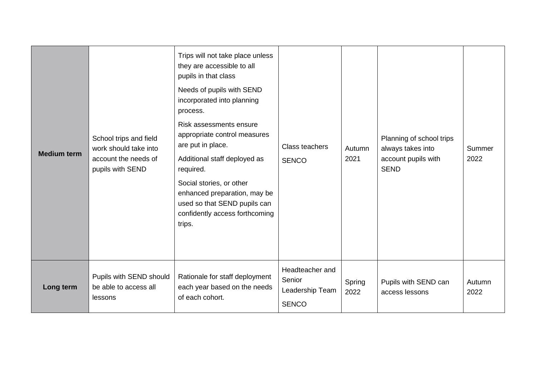| <b>Medium term</b> | School trips and field<br>work should take into<br>account the needs of<br>pupils with SEND | Trips will not take place unless<br>they are accessible to all<br>pupils in that class<br>Needs of pupils with SEND<br>incorporated into planning<br>process.<br>Risk assessments ensure<br>appropriate control measures<br>are put in place.<br>Additional staff deployed as<br>required.<br>Social stories, or other<br>enhanced preparation, may be<br>used so that SEND pupils can<br>confidently access forthcoming<br>trips. | Class teachers<br><b>SENCO</b>                               | Autumn<br>2021 | Planning of school trips<br>always takes into<br>account pupils with<br><b>SEND</b> | Summer<br>2022 |
|--------------------|---------------------------------------------------------------------------------------------|------------------------------------------------------------------------------------------------------------------------------------------------------------------------------------------------------------------------------------------------------------------------------------------------------------------------------------------------------------------------------------------------------------------------------------|--------------------------------------------------------------|----------------|-------------------------------------------------------------------------------------|----------------|
| Long term          | Pupils with SEND should<br>be able to access all<br>lessons                                 | Rationale for staff deployment<br>each year based on the needs<br>of each cohort.                                                                                                                                                                                                                                                                                                                                                  | Headteacher and<br>Senior<br>Leadership Team<br><b>SENCO</b> | Spring<br>2022 | Pupils with SEND can<br>access lessons                                              | Autumn<br>2022 |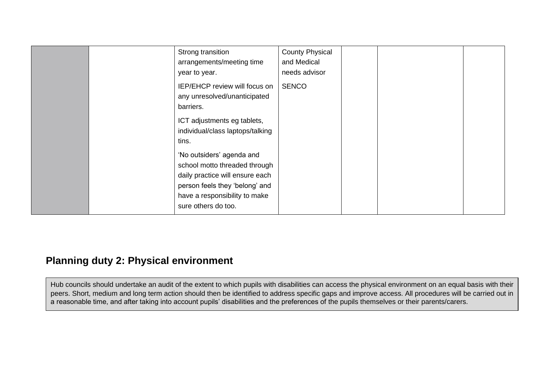| Strong transition<br>arrangements/meeting time<br>year to year.                                                                                                                         | <b>County Physical</b><br>and Medical<br>needs advisor |  |
|-----------------------------------------------------------------------------------------------------------------------------------------------------------------------------------------|--------------------------------------------------------|--|
| IEP/EHCP review will focus on<br>any unresolved/unanticipated<br>barriers.                                                                                                              | <b>SENCO</b>                                           |  |
| ICT adjustments eg tablets,<br>individual/class laptops/talking<br>tins.                                                                                                                |                                                        |  |
| 'No outsiders' agenda and<br>school motto threaded through<br>daily practice will ensure each<br>person feels they 'belong' and<br>have a responsibility to make<br>sure others do too. |                                                        |  |

## **Planning duty 2: Physical environment**

<span id="page-4-0"></span>Hub councils should undertake an audit of the extent to which pupils with disabilities can access the physical environment on an equal basis with their peers. Short, medium and long term action should then be identified to address specific gaps and improve access. All procedures will be carried out in a reasonable time, and after taking into account pupils' disabilities and the preferences of the pupils themselves or their parents/carers.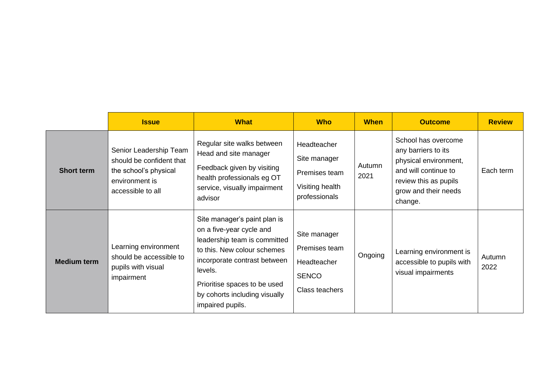|                    | <b>Issue</b>                                                                                                       | <b>What</b>                                                                                                                                                                                                                                             | <b>Who</b>                                                                       | <b>When</b>    | <b>Outcome</b>                                                                                                                                          | <b>Review</b>  |
|--------------------|--------------------------------------------------------------------------------------------------------------------|---------------------------------------------------------------------------------------------------------------------------------------------------------------------------------------------------------------------------------------------------------|----------------------------------------------------------------------------------|----------------|---------------------------------------------------------------------------------------------------------------------------------------------------------|----------------|
| <b>Short term</b>  | Senior Leadership Team<br>should be confident that<br>the school's physical<br>environment is<br>accessible to all | Regular site walks between<br>Head and site manager<br>Feedback given by visiting<br>health professionals eg OT<br>service, visually impairment<br>advisor                                                                                              | Headteacher<br>Site manager<br>Premises team<br>Visiting health<br>professionals | Autumn<br>2021 | School has overcome<br>any barriers to its<br>physical environment,<br>and will continue to<br>review this as pupils<br>grow and their needs<br>change. | Each term      |
| <b>Medium term</b> | Learning environment<br>should be accessible to<br>pupils with visual<br>impairment                                | Site manager's paint plan is<br>on a five-year cycle and<br>leadership team is committed<br>to this. New colour schemes<br>incorporate contrast between<br>levels.<br>Prioritise spaces to be used<br>by cohorts including visually<br>impaired pupils. | Site manager<br>Premises team<br>Headteacher<br><b>SENCO</b><br>Class teachers   | Ongoing        | Learning environment is<br>accessible to pupils with<br>visual impairments                                                                              | Autumn<br>2022 |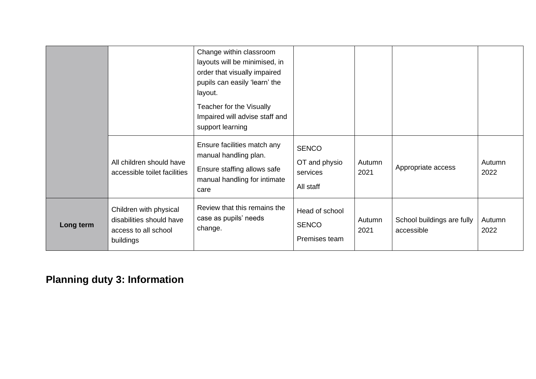|           |                                                                                         | Change within classroom<br>layouts will be minimised, in<br>order that visually impaired<br>pupils can easily 'learn' the<br>layout.<br>Teacher for the Visually<br>Impaired will advise staff and<br>support learning |                                                        |                |                                          |                |
|-----------|-----------------------------------------------------------------------------------------|------------------------------------------------------------------------------------------------------------------------------------------------------------------------------------------------------------------------|--------------------------------------------------------|----------------|------------------------------------------|----------------|
|           | All children should have<br>accessible toilet facilities                                | Ensure facilities match any<br>manual handling plan.<br>Ensure staffing allows safe<br>manual handling for intimate<br>care                                                                                            | <b>SENCO</b><br>OT and physio<br>services<br>All staff | Autumn<br>2021 | Appropriate access                       | Autumn<br>2022 |
| Long term | Children with physical<br>disabilities should have<br>access to all school<br>buildings | Review that this remains the<br>case as pupils' needs<br>change.                                                                                                                                                       | Head of school<br><b>SENCO</b><br>Premises team        | Autumn<br>2021 | School buildings are fully<br>accessible | Autumn<br>2022 |

## <span id="page-6-0"></span>**Planning duty 3: Information**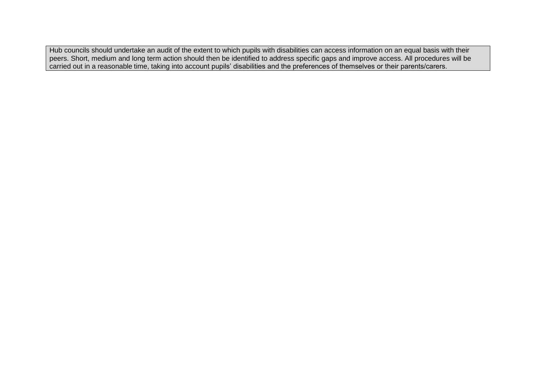Hub councils should undertake an audit of the extent to which pupils with disabilities can access information on an equal basis with their peers. Short, medium and long term action should then be identified to address specific gaps and improve access. All procedures will be carried out in a reasonable time, taking into account pupils' disabilities and the preferences of themselves or their parents/carers.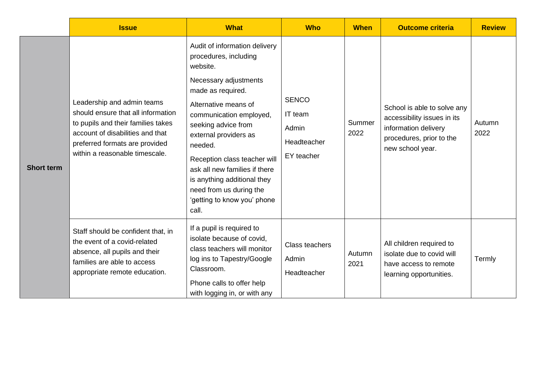|                   | <b>Issue</b>                                                                                                                                                                                                   | <b>What</b>                                                                                                                                                                                                                                                                                                                                                                                       | <b>Who</b>                                                    | <b>When</b>    | <b>Outcome criteria</b>                                                                                                            | <b>Review</b>  |
|-------------------|----------------------------------------------------------------------------------------------------------------------------------------------------------------------------------------------------------------|---------------------------------------------------------------------------------------------------------------------------------------------------------------------------------------------------------------------------------------------------------------------------------------------------------------------------------------------------------------------------------------------------|---------------------------------------------------------------|----------------|------------------------------------------------------------------------------------------------------------------------------------|----------------|
| <b>Short term</b> | Leadership and admin teams<br>should ensure that all information<br>to pupils and their families takes<br>account of disabilities and that<br>preferred formats are provided<br>within a reasonable timescale. | Audit of information delivery<br>procedures, including<br>website.<br>Necessary adjustments<br>made as required.<br>Alternative means of<br>communication employed,<br>seeking advice from<br>external providers as<br>needed.<br>Reception class teacher will<br>ask all new families if there<br>is anything additional they<br>need from us during the<br>'getting to know you' phone<br>call. | <b>SENCO</b><br>IT team<br>Admin<br>Headteacher<br>EY teacher | Summer<br>2022 | School is able to solve any<br>accessibility issues in its<br>information delivery<br>procedures, prior to the<br>new school year. | Autumn<br>2022 |
|                   | Staff should be confident that, in<br>the event of a covid-related<br>absence, all pupils and their<br>families are able to access<br>appropriate remote education.                                            | If a pupil is required to<br>isolate because of covid,<br>class teachers will monitor<br>log ins to Tapestry/Google<br>Classroom.<br>Phone calls to offer help<br>with logging in, or with any                                                                                                                                                                                                    | Class teachers<br>Admin<br>Headteacher                        | Autumn<br>2021 | All children required to<br>isolate due to covid will<br>have access to remote<br>learning opportunities.                          | Termly         |